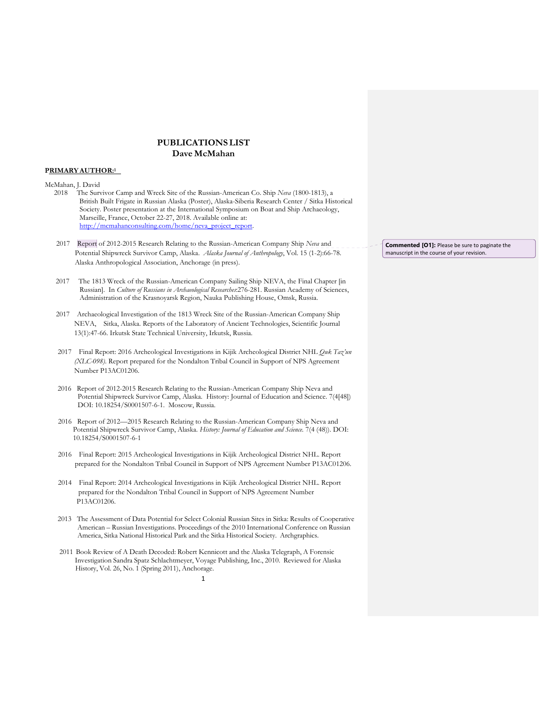# **PUBLICATIONS LIST Dave McMahan**

## **PRIMARY AUTHOR:1**

McMahan, J. David

- 2018 The Survivor Camp and Wreck Site of the Russian-American Co. Ship *Neva* (1800-1813), a British Built Frigate in Russian Alaska (Poster), Alaska-Siberia Research Center / Sitka Historical Society. Poster presentation at the International Symposium on Boat and Ship Archaeology, Marseille, France, October 22-27, 2018. Available online at: http://mcmahanconsulting.com/home/neva\_project\_report.
- 2017 Report of 2012-2015 Research Relating to the Russian-American Company Ship *Neva* and Potential Shipwreck Survivor Camp, Alaska. *Alaska Journal of Anthropology*, Vol. 15 (1-2):66-78. Alaska Anthropological Association, Anchorage (in press).
- 2017 The 1813 Wreck of the Russian-American Company Sailing Ship NEVA, the Final Chapter [in Russian]. In *Culture of Russians in Archaeological Researches*:276-281. Russian Academy of Sciences, Administration of the Krasnoyarsk Region, Nauka Publishing House, Omsk, Russia.
- 2017 Archaeological Investigation of the 1813 Wreck Site of the Russian-American Company Ship NEVA, Sitka, Alaska. Reports of the Laboratory of Ancient Technologies, Scientific Journal 13(1):47-66. Irkutsk State Technical University, Irkutsk, Russia.
- 2017 Final Report: 2016 Archeological Investigations in Kijik Archeological District NHL *Quk Taz'un (XLC-098)*. Report prepared for the Nondalton Tribal Council in Support of NPS Agreement Number P13AC01206.
- 2016 Report of 2012-2015 Research Relating to the Russian-American Company Ship Neva and Potential Shipwreck Survivor Camp, Alaska. History: Journal of Education and Science. 7(4[48]) DOI: 10.18254/S0001507-6-1. Moscow, Russia.
- 2016 Report of 2012—2015 Research Relating to the Russian-American Company Ship Neva and Potential Shipwreck Survivor Camp, Alaska. *History: Journal of Education and Science.* 7(4 (48)). DOI: 10.18254/S0001507-6-1
- 2016 Final Report: 2015 Archeological Investigations in Kijik Archeological District NHL. Report prepared for the Nondalton Tribal Council in Support of NPS Agreement Number P13AC01206.
- 2014 Final Report: 2014 Archeological Investigations in Kijik Archeological District NHL. Report prepared for the Nondalton Tribal Council in Support of NPS Agreement Number P13AC01206.
- 2013 The Assessment of Data Potential for Select Colonial Russian Sites in Sitka: Results of Cooperative American – Russian Investigations. Proceedings of the 2010 International Conference on Russian America, Sitka National Historical Park and the Sitka Historical Society. Archgraphics.
- 2011 Book Review of A Death Decoded: Robert Kennicott and the Alaska Telegraph, A Forensic Investigation Sandra Spatz Schlachtmeyer, Voyage Publishing, Inc., 2010. Reviewed for Alaska History, Vol. 26, No. 1 (Spring 2011), Anchorage.

**Commented [O1]:** Please be sure to paginate the manuscript in the course of your revision.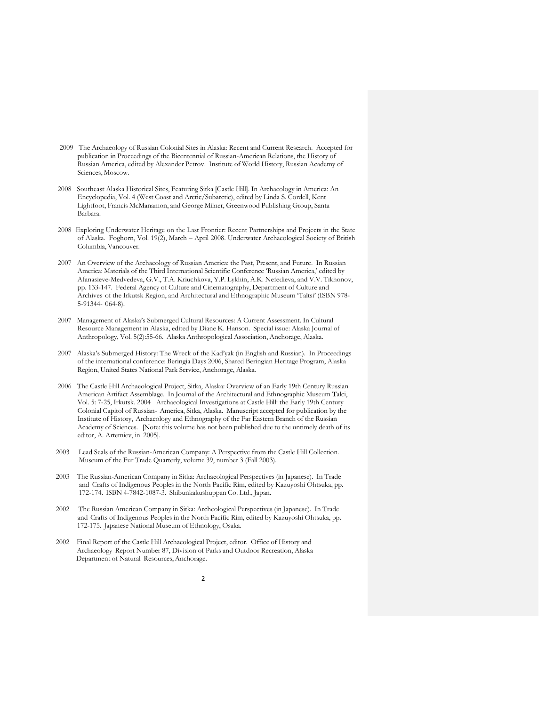- 2009 The Archaeology of Russian Colonial Sites in Alaska: Recent and Current Research. Accepted for publication in Proceedings of the Bicentennial of Russian-American Relations, the History of Russian America, edited by Alexander Petrov. Institute of World History, Russian Academy of Sciences, Moscow.
- 2008 Southeast Alaska Historical Sites, Featuring Sitka [Castle Hill]. In Archaeology in America: An Encyclopedia, Vol. 4 (West Coast and Arctic/Subarctic), edited by Linda S. Cordell, Kent Lightfoot, Francis McManamon, and George Milner, Greenwood Publishing Group, Santa Barbara.
- 2008 Exploring Underwater Heritage on the Last Frontier: Recent Partnerships and Projects in the State of Alaska. Foghorn, Vol. 19(2), March – April 2008. Underwater Archaeological Society of British Columbia, Vancouver.
- 2007 An Overview of the Archaeology of Russian America: the Past, Present, and Future. In Russian America: Materials of the Third International Scientific Conference 'Russian America,' edited by Afanasieve-Medvedeva, G.V., T.A. Kriuchkova, Y.P. Lykhin, A.K. Nefedieva, and V.V. Tikhonov, pp. 133-147. Federal Agency of Culture and Cinematography, Department of Culture and Archives of the Irkutsk Region, and Architectural and Ethnographic Museum 'Taltsi' (ISBN 978- 5-91344- 064-8).
- 2007 Management of Alaska's Submerged Cultural Resources: A Current Assessment. In Cultural Resource Management in Alaska, edited by Diane K. Hanson. Special issue: Alaska Journal of Anthropology, Vol. 5(2):55-66. Alaska Anthropological Association, Anchorage, Alaska.
- 2007 Alaska's Submerged History: The Wreck of the Kad'yak (in English and Russian). In Proceedings of the international conference: Beringia Days 2006, Shared Beringian Heritage Program, Alaska Region, United States National Park Service, Anchorage, Alaska.
- 2006 The Castle Hill Archaeological Project, Sitka, Alaska: Overview of an Early 19th Century Russian American Artifact Assemblage. In Journal of the Architectural and Ethnographic Museum Talci, Vol. 5: 7-25, Irkutsk. 2004 Archaeological Investigations at Castle Hill: the Early 19th Century Colonial Capitol of Russian- America, Sitka, Alaska. Manuscript accepted for publication by the Institute of History, Archaeology and Ethnography of the Far Eastern Branch of the Russian Academy of Sciences. [Note: this volume has not been published due to the untimely death of its editor, A. Artemiev, in 2005].
- 2003 Lead Seals of the Russian-American Company: A Perspective from the Castle Hill Collection. Museum of the Fur Trade Quarterly, volume 39, number 3 (Fall 2003).
- 2003 The Russian-American Company in Sitka: Archaeological Perspectives (in Japanese). In Trade and Crafts of Indigenous Peoples in the North Pacific Rim, edited by Kazuyoshi Ohtsuka, pp. 172-174. ISBN 4-7842-1087-3. Shibunkakushuppan Co. Ltd., Japan.
- 2002 The Russian American Company in Sitka: Archeological Perspectives (in Japanese). In Trade and Crafts of Indigenous Peoples in the North Pacific Rim, edited by Kazuyoshi Ohtsuka, pp. 172-175. Japanese National Museum of Ethnology, Osaka.
- 2002 Final Report of the Castle Hill Archaeological Project, editor. Office of History and Archaeology Report Number 87, Division of Parks and Outdoor Recreation, Alaska Department of Natural Resources, Anchorage.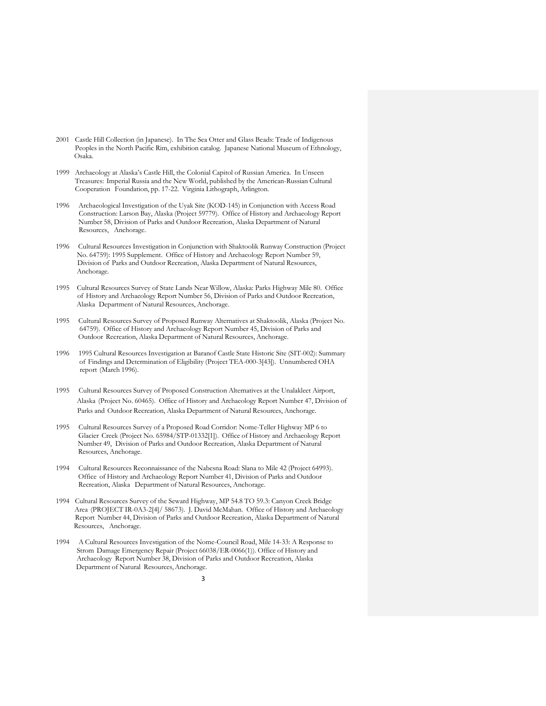- 2001 Castle Hill Collection (in Japanese). In The Sea Otter and Glass Beads: Trade of Indigenous Peoples in the North Pacific Rim, exhibition catalog. Japanese National Museum of Ethnology, Osaka.
- 1999 Archaeology at Alaska's Castle Hill, the Colonial Capitol of Russian America. In Unseen Treasures: Imperial Russia and the New World, published by the American-Russian Cultural Cooperation Foundation, pp. 17-22. Virginia Lithograph, Arlington.
- 1996 Archaeological Investigation of the Uyak Site (KOD-145) in Conjunction with Access Road Construction: Larson Bay, Alaska (Project 59779). Office of History and Archaeology Report Number 58, Division of Parks and Outdoor Recreation, Alaska Department of Natural Resources, Anchorage.
- 1996 Cultural Resources Investigation in Conjunction with Shaktoolik Runway Construction (Project No. 64759): 1995 Supplement. Office of History and Archaeology Report Number 59, Division of Parks and Outdoor Recreation, Alaska Department of Natural Resources, Anchorage.
- 1995 Cultural Resources Survey of State Lands Near Willow, Alaska: Parks Highway Mile 80. Office of History and Archaeology Report Number 56, Division of Parks and Outdoor Recreation, Alaska Department of Natural Resources, Anchorage.
- 1995 Cultural Resources Survey of Proposed Runway Alternatives at Shaktoolik, Alaska (Project No. 64759). Office of History and Archaeology Report Number 45, Division of Parks and Outdoor Recreation, Alaska Department of Natural Resources, Anchorage.
- 1996 1995 Cultural Resources Investigation at Baranof Castle State Historic Site (SIT-002): Summary of Findings and Determination of Eligibility (Project TEA-000-3[43]). Unnumbered OHA report (March 1996).
- 1995 Cultural Resources Survey of Proposed Construction Alternatives at the Unalakleet Airport, Alaska (Project No. 60465). Office of History and Archaeology Report Number 47, Division of Parks and Outdoor Recreation, Alaska Department of Natural Resources, Anchorage.
- 1995 Cultural Resources Survey of a Proposed Road Corridor: Nome-Teller Highway MP 6 to Glacier Creek (Project No. 65984/STP-01332[1]). Office of History and Archaeology Report Number 49, Division of Parks and Outdoor Recreation, Alaska Department of Natural Resources, Anchorage.
- 1994 Cultural Resources Reconnaissance of the Nabesna Road: Slana to Mile 42 (Project 64993). Office of History and Archaeology Report Number 41, Division of Parks and Outdoor Recreation, Alaska Department of Natural Resources, Anchorage.
- 1994 Cultural Resources Survey of the Seward Highway, MP 54.8 TO 59.3: Canyon Creek Bridge Area (PROJECT IR-0A3-2[4]/ 58673). J. David McMahan. Office of History and Archaeology Report Number 44, Division of Parks and Outdoor Recreation, Alaska Department of Natural Resources, Anchorage.
- 1994 A Cultural Resources Investigation of the Nome-Council Road, Mile 14-33: A Response to Strom Damage Emergency Repair (Project 66038/ER-0066(1)). Office of History and Archaeology Report Number 38, Division of Parks and Outdoor Recreation, Alaska Department of Natural Resources, Anchorage.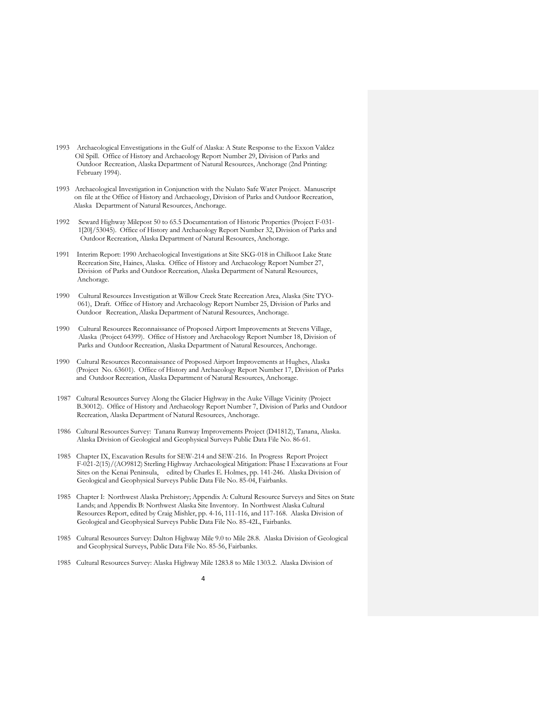- 1993 Archaeological Envestigations in the Gulf of Alaska: A State Response to the Exxon Valdez Oil Spill. Office of History and Archaeology Report Number 29, Division of Parks and Outdoor Recreation, Alaska Department of Natural Resources, Anchorage (2nd Printing: February 1994).
- 1993 Archaeological Investigation in Conjunction with the Nulato Safe Water Project. Manuscript on file at the Office of History and Archaeology, Division of Parks and Outdoor Recreation, Alaska Department of Natural Resources, Anchorage.
- 1992 Seward Highway Milepost 50 to 65.5 Documentation of Historic Properties (Project F-031- 1[20]/53045). Office of History and Archaeology Report Number 32, Division of Parks and Outdoor Recreation, Alaska Department of Natural Resources, Anchorage.
- 1991 Interim Report: 1990 Archaeological Investigations at Site SKG-018 in Chilkoot Lake State Recreation Site, Haines, Alaska. Office of History and Archaeology Report Number 27, Division of Parks and Outdoor Recreation, Alaska Department of Natural Resources, Anchorage.
- 1990 Cultural Resources Investigation at Willow Creek State Recreation Area, Alaska (Site TYO- 061), Draft. Office of History and Archaeology Report Number 25, Division of Parks and Outdoor Recreation, Alaska Department of Natural Resources, Anchorage.
- 1990 Cultural Resources Reconnaissance of Proposed Airport Improvements at Stevens Village, Alaska (Project 64399). Office of History and Archaeology Report Number 18, Division of Parks and Outdoor Recreation, Alaska Department of Natural Resources, Anchorage.
- 1990 Cultural Resources Reconnaissance of Proposed Airport Improvements at Hughes, Alaska (Project No. 63601). Office of History and Archaeology Report Number 17, Division of Parks and Outdoor Recreation, Alaska Department of Natural Resources, Anchorage.
- 1987 Cultural Resources Survey Along the Glacier Highway in the Auke Village Vicinity (Project B.30012). Office of History and Archaeology Report Number 7, Division of Parks and Outdoor Recreation, Alaska Department of Natural Resources, Anchorage.
- 1986 Cultural Resources Survey: Tanana Runway Improvements Project (D41812), Tanana, Alaska. Alaska Division of Geological and Geophysical Surveys Public Data File No. 86-61.
- 1985 Chapter IX, Excavation Results for SEW-214 and SEW-216. In Progress Report Project F-021-2(15)/(AO9812) Sterling Highway Archaeological Mitigation: Phase I Excavations at Four Sites on the Kenai Peninsula, edited by Charles E. Holmes, pp. 141-246. Alaska Division of Geological and Geophysical Surveys Public Data File No. 85-04, Fairbanks.
- 1985 Chapter I: Northwest Alaska Prehistory; Appendix A: Cultural Resource Surveys and Sites on State Lands; and Appendix B: Northwest Alaska Site Inventory. In Northwest Alaska Cultural Resources Report, edited by Craig Mishler, pp. 4-16, 111-116, and 117-168. Alaska Division of Geological and Geophysical Surveys Public Data File No. 85-42L, Fairbanks.
- 1985 Cultural Resources Survey: Dalton Highway Mile 9.0 to Mile 28.8. Alaska Division of Geological and Geophysical Surveys, Public Data File No. 85-56, Fairbanks.
- 1985 Cultural Resources Survey: Alaska Highway Mile 1283.8 to Mile 1303.2. Alaska Division of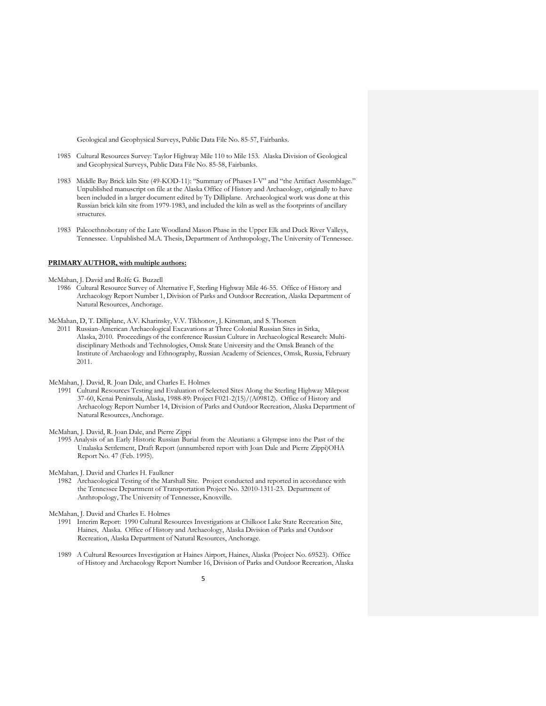Geological and Geophysical Surveys, Public Data File No. 85-57, Fairbanks.

- 1985 Cultural Resources Survey: Taylor Highway Mile 110 to Mile 153. Alaska Division of Geological and Geophysical Surveys, Public Data File No. 85-58, Fairbanks.
- 1983 Middle Bay Brick kiln Site (49-KOD-11): "Summary of Phases I-V" and "the Artifact Assemblage." Unpublished manuscript on file at the Alaska Office of History and Archaeology, originally to have been included in a larger document edited by Ty Dilliplane. Archaeological work was done at this Russian brick kiln site from 1979-1983, and included the kiln as well as the footprints of ancillary structures.
- 1983 Paleoethnobotany of the Late Woodland Mason Phase in the Upper Elk and Duck River Valleys, Tennessee. Unpublished M.A. Thesis, Department of Anthropology, The University of Tennessee.

## **PRIMARY AUTHOR, with multiple authors:**

McMahan, J. David and Rolfe G. Buzzell

1986 Cultural Resource Survey of Alternative F, Sterling Highway Mile 46-55. Office of History and Archaeology Report Number 1, Division of Parks and Outdoor Recreation, Alaska Department of Natural Resources, Anchorage.

McMahan, D, T. Dilliplane, A.V. Kharinsky, V.V. Tikhonov, J. Kinsman, and S. Thorsen

2011 Russian-American Archaeological Excavations at Three Colonial Russian Sites in Sitka, Alaska, 2010. Proceedings of the conference Russian Culture in Archaeological Research: Multidisciplinary Methods and Technologies, Omsk State University and the Omsk Branch of the Institute of Archaeology and Ethnography, Russian Academy of Sciences, Omsk, Russia, February 2011.

McMahan, J. David, R. Joan Dale, and Charles E. Holmes

1991 Cultural Resources Testing and Evaluation of Selected Sites Along the Sterling Highway Milepost 37-60, Kenai Peninsula, Alaska, 1988-89: Project F021-2(15)/(A09812). Office of History and Archaeology Report Number 14, Division of Parks and Outdoor Recreation, Alaska Department of Natural Resources, Anchorage.

McMahan, J. David, R. Joan Dale, and Pierre Zippi

1995 Analysis of an Early Historic Russian Burial from the Aleutians: a Glympse into the Past of the Unalaska Settlement, Draft Report (unnumbered report with Joan Dale and Pierre Zippi)OHA Report No. 47 (Feb. 1995).

McMahan, J. David and Charles H. Faulkner

1982 Archaeological Testing of the Marshall Site. Project conducted and reported in accordance with the Tennessee Department of Transportation Project No. 32010-1311-23. Department of Anthropology, The University of Tennessee, Knoxville.

McMahan, J. David and Charles E. Holmes

- 1991 Interim Report: 1990 Cultural Resources Investigations at Chilkoot Lake State Recreation Site, Haines, Alaska. Office of History and Archaeology, Alaska Division of Parks and Outdoor Recreation, Alaska Department of Natural Resources, Anchorage.
- 1989 A Cultural Resources Investigation at Haines Airport, Haines, Alaska (Project No. 69523). Office of History and Archaeology Report Number 16, Division of Parks and Outdoor Recreation, Alaska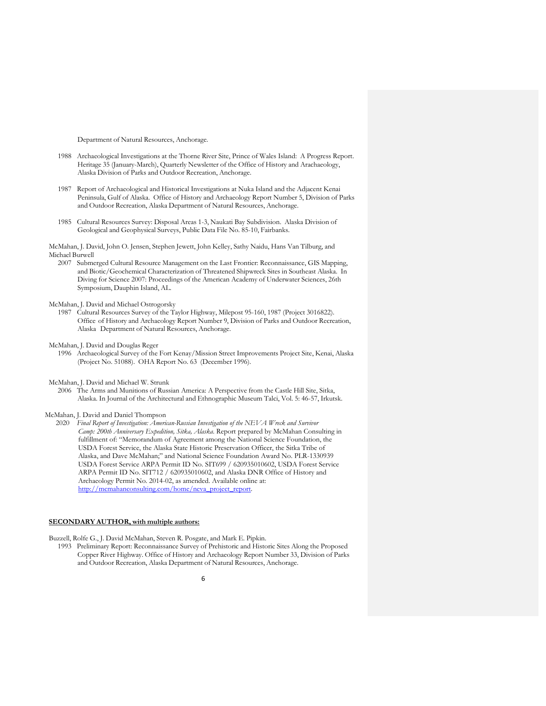Department of Natural Resources, Anchorage.

- 1988 Archaeological Investigations at the Thorne River Site, Prince of Wales Island: A Progress Report. Heritage 35 (January-March), Quarterly Newsletter of the Office of History and Arachaeology, Alaska Division of Parks and Outdoor Recreation, Anchorage.
- 1987 Report of Archaeological and Historical Investigations at Nuka Island and the Adjacent Kenai Peninsula, Gulf of Alaska. Office of History and Archaeology Report Number 5, Division of Parks and Outdoor Recreation, Alaska Department of Natural Resources, Anchorage.
- 1985 Cultural Resources Survey: Disposal Areas 1-3, Naukati Bay Subdivision. Alaska Division of Geological and Geophysical Surveys, Public Data File No. 85-10, Fairbanks.

### McMahan, J. David, John O. Jensen, Stephen Jewett, John Kelley, Sathy Naidu, Hans Van Tilburg, and Michael Burwell

2007 Submerged Cultural Resource Management on the Last Frontier: Reconnaissance, GIS Mapping, and Biotic/Geochemical Characterization of Threatened Shipwreck Sites in Southeast Alaska. In Diving for Science 2007: Proceedings of the American Academy of Underwater Sciences, 26th Symposium, Dauphin Island, AL.

## McMahan, J. David and Michael Ostrogorsky

1987 Cultural Resources Survey of the Taylor Highway, Milepost 95-160, 1987 (Project 3016822). Office of History and Archaeology Report Number 9, Division of Parks and Outdoor Recreation, Alaska Department of Natural Resources, Anchorage.

#### McMahan, J. David and Douglas Reger

1996 Archaeological Survey of the Fort Kenay/Mission Street Improvements Project Site, Kenai, Alaska (Project No. 51088). OHA Report No. 63 (December 1996).

## McMahan, J. David and Michael W. Strunk

2006 The Arms and Munitions of Russian America: A Perspective from the Castle Hill Site, Sitka, Alaska. In Journal of the Architectural and Ethnographic Museum Talci, Vol. 5: 46-57, Irkutsk.

### McMahan, J. David and Daniel Thompson

 2020 *Final Report of Investigation: American-Russian Investigation of the NEVA Wreck and Survivor Camp: 200th Anniversary Expedition, Sitka, Alaska*. Report prepared by McMahan Consulting in fulfillment of: "Memorandum of Agreement among the National Science Foundation, the USDA Forest Service, the Alaska State Historic Preservation Officer, the Sitka Tribe of Alaska, and Dave McMahan;" and National Science Foundation Award No. PLR-1330939 USDA Forest Service ARPA Permit ID No. SIT699 / 620935010602, USDA Forest Service ARPA Permit ID No. SIT712 / 620935010602, and Alaska DNR Office of History and Archaeology Permit No. 2014-02, as amended. Available online at:  $\frac{\text{http://mcmahanconsulting.com/home/neva-project-rep}}{h}$ 

#### **SECONDARY AUTHOR, with multiple authors:**

Buzzell, Rolfe G., J. David McMahan, Steven R. Posgate, and Mark E. Pipkin.

1993 Preliminary Report: Reconnaissance Survey of Prehistoric and Historic Sites Along the Proposed Copper River Highway. Office of History and Archaeology Report Number 33, Division of Parks and Outdoor Recreation, Alaska Department of Natural Resources, Anchorage.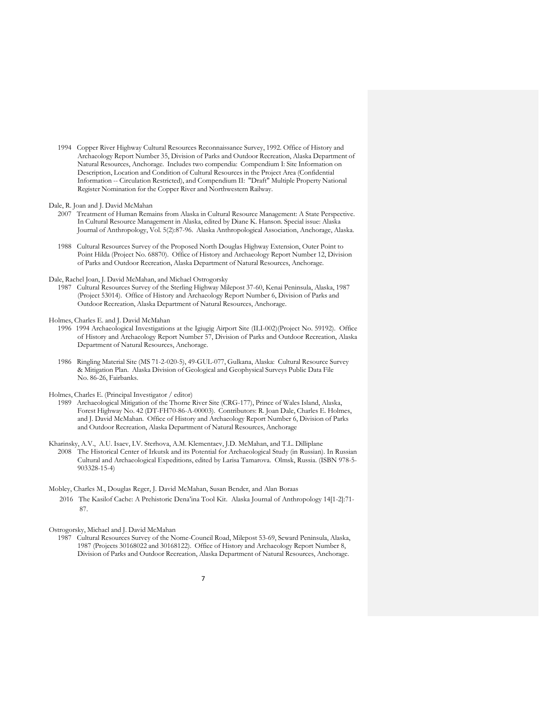1994 Copper River Highway Cultural Resources Reconnaissance Survey, 1992. Office of History and Archaeology Report Number 35, Division of Parks and Outdoor Recreation, Alaska Department of Natural Resources, Anchorage. Includes two compendia: Compendium I: Site Information on Description, Location and Condition of Cultural Resources in the Project Area (Confidential Information -- Circulation Restricted), and Compendium II: "Draft" Multiple Property National Register Nomination for the Copper River and Northwestern Railway.

Dale, R. Joan and J. David McMahan

- 2007 Treatment of Human Remains from Alaska in Cultural Resource Management: A State Perspective. In Cultural Resource Management in Alaska, edited by Diane K. Hanson. Special issue: Alaska Journal of Anthropology, Vol. 5(2):87-96. Alaska Anthropological Association, Anchorage, Alaska.
- 1988 Cultural Resources Survey of the Proposed North Douglas Highway Extension, Outer Point to Point Hilda (Project No. 68870). Office of History and Archaeology Report Number 12, Division of Parks and Outdoor Recreation, Alaska Department of Natural Resources, Anchorage.

### Dale, Rachel Joan, J. David McMahan, and Michael Ostrogorsky

1987 Cultural Resources Survey of the Sterling Highway Milepost 37-60, Kenai Peninsula, Alaska, 1987 (Project 53014). Office of History and Archaeology Report Number 6, Division of Parks and Outdoor Recreation, Alaska Department of Natural Resources, Anchorage.

#### Holmes, Charles E. and J. David McMahan

- 1996 1994 Archaeological Investigations at the Igiugig Airport Site (ILI-002)(Project No. 59192). Office of History and Archaeology Report Number 57, Division of Parks and Outdoor Recreation, Alaska Department of Natural Resources, Anchorage.
- 1986 Ringling Material Site (MS 71-2-020-5), 49-GUL-077, Gulkana, Alaska: Cultural Resource Survey & Mitigation Plan. Alaska Division of Geological and Geophysical Surveys Public Data File No. 86-26, Fairbanks.

Holmes, Charles E. (Principal Investigator / editor)

- 1989 Archaeological Mitigation of the Thorne River Site (CRG-177), Prince of Wales Island, Alaska, Forest Highway No. 42 (DT-FH70-86-A-00003). Contributors: R. Joan Dale, Charles E. Holmes, and J. David McMahan. Office of History and Archaeology Report Number 6, Division of Parks and Outdoor Recreation, Alaska Department of Natural Resources, Anchorage
- Kharinsky, A.V., A.U. Isaev, I.V. Sterhova, A.M. Klementaev, J.D. McMahan, and T.L. Dilliplane 2008 The Historical Center of Irkutsk and its Potential for Archaeological Study (in Russian). In Russian Cultural and Archaeological Expeditions, edited by Larisa Tamarova. Olmsk, Russia. (ISBN 978-5- 903328-15-4)
- Mobley, Charles M., Douglas Reger, J. David McMahan, Susan Bender, and Alan Boraas 2016 The Kasilof Cache: A Prehistoric Dena'ina Tool Kit. Alaska Journal of Anthropology 14[1-2]:71- 87.

Ostrogorsky, Michael and J. David McMahan

1987 Cultural Resources Survey of the Nome-Council Road, Milepost 53-69, Seward Peninsula, Alaska, 1987 (Projects 30168022 and 30168122). Office of History and Archaeology Report Number 8, Division of Parks and Outdoor Recreation, Alaska Department of Natural Resources, Anchorage.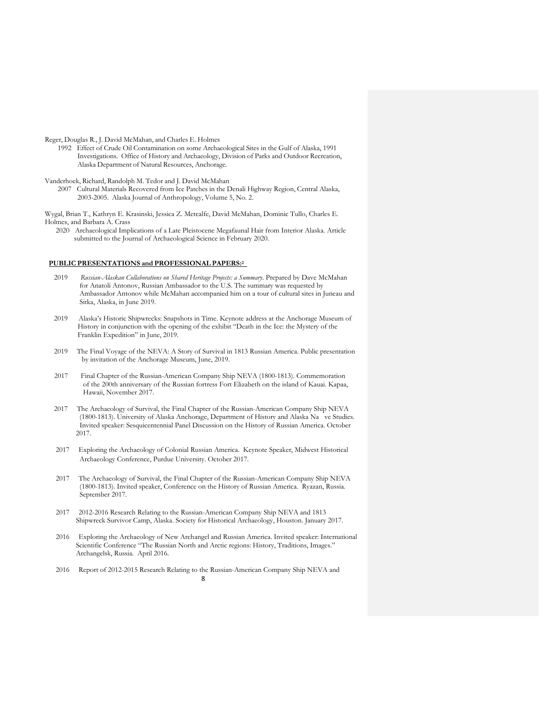Reger, Douglas R., J. David McMahan, and Charles E. Holmes

1992 Effect of Crude Oil Contamination on some Archaeological Sites in the Gulf of Alaska, 1991 Investigations. Office of History and Archaeology, Division of Parks and Outdoor Recreation, Alaska Department of Natural Resources, Anchorage.

Vanderhoek, Richard, Randolph M. Tedor and J. David McMahan

2007 Cultural Materials Recovered from Ice Patches in the Denali Highway Region, Central Alaska, 2003-2005. Alaska Journal of Anthropology, Volume 5, No. 2.

Wygal, Brian T., Kathryn E. Krasinski, Jessica Z. Metcalfe, David McMahan, Dominic Tullo, Charles E. Holmes, and Barbara A. Crass

 2020 Archaeological Implications of a Late Pleistocene Megafaunal Hair from Interior Alaska. Article submitted to the Journal of Archaeological Science in February 2020.

### **PUBLIC PRESENTATIONS and PROFESSIONAL PAPERS:2**

- 2019 *Russian-Alaskan Collaborations on Shared Heritage Projects: a Summary*. Prepared by Dave McMahan for Anatoli Antonov, Russian Ambassador to the U.S. The summary was requested by Ambassador Antonov while McMahan accompanied him on a tour of cultural sites in Juneau and Sitka, Alaska, in June 2019.
- 2019 Alaska's Historic Shipwrecks: Snapshots in Time. Keynote address at the Anchorage Museum of History in conjunction with the opening of the exhibit "Death in the Ice: the Mystery of the Franklin Expedition" in June, 2019.
- 2019 The Final Voyage of the NEVA: A Story of Survival in 1813 Russian America. Public presentation by invitation of the Anchorage Museum, June, 2019.
- 2017 Final Chapter of the Russian-American Company Ship NEVA (1800-1813). Commemoration of the 200th anniversary of the Russian fortress Fort Elizabeth on the island of Kauai. Kapaa, Hawaii, November 2017.
- 2017 The Archaeology of Survival, the Final Chapter of the Russian-American Company Ship NEVA (1800-1813). University of Alaska Anchorage, Department of History and Alaska Na ve Studies. Invited speaker: Sesquicentennial Panel Discussion on the History of Russian America. October 2017.
- 2017 Exploring the Archaeology of Colonial Russian America. Keynote Speaker, Midwest Historical Archaeology Conference, Purdue University. October 2017.
- 2017 The Archaeology of Survival, the Final Chapter of the Russian-American Company Ship NEVA (1800-1813). Invited speaker, Conference on the History of Russian America. Ryazan, Russia. September 2017.
- 2017 2012-2016 Research Relating to the Russian-American Company Ship NEVA and 1813 Shipwreck Survivor Camp, Alaska. Society for Historical Archaeology, Houston. January 2017.
- 2016 Exploring the Archaeology of New Archangel and Russian America. Invited speaker: International Scientific Conference "The Russian North and Arctic regions: History, Traditions, Images." Archangelsk, Russia. April 2016.
- 2016 Report of 2012-2015 Research Relating to the Russian-American Company Ship NEVA and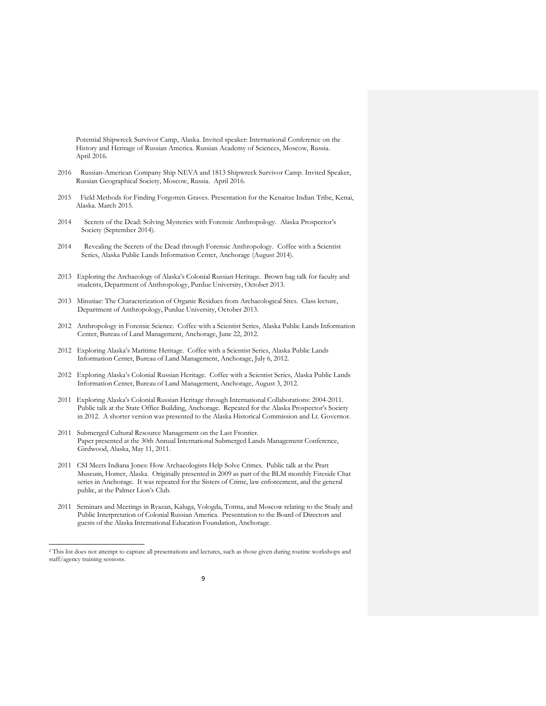Potential Shipwreck Survivor Camp, Alaska. Invited speaker: International Conference on the History and Heritage of Russian America. Russian Academy of Sciences, Moscow, Russia. April 2016.

- 2016 Russian-American Company Ship NEVA and 1813 Shipwreck Survivor Camp. Invited Speaker, Russian Geographical Society, Moscow, Russia. April 2016.
- 2015 Field Methods for Finding Forgotten Graves. Presentation for the Kenaitze Indian Tribe, Kenai, Alaska. March 2015.
- 2014 Secrets of the Dead: Solving Mysteries with Forensic Anthropology. Alaska Prospector's Society (September 2014).
- 2014 Revealing the Secrets of the Dead through Forensic Anthropology. Coffee with a Scientist Series, Alaska Public Lands Information Center, Anchorage (August 2014).
- 2013 Exploring the Archaeology of Alaska's Colonial Russian Heritage. Brown bag talk for faculty and students, Department of Anthropology, Purdue University, October 2013.
- 2013 Minutiae: The Characterization of Organic Residues from Archaeological Sites. Class lecture, Department of Anthropology, Purdue University, October 2013.
- 2012 Anthropology in Forensic Science. Coffee with a Scientist Series, Alaska Public Lands Information Center, Bureau of Land Management, Anchorage, June 22, 2012.
- 2012 Exploring Alaska's Maritime Heritage. Coffee with a Scientist Series, Alaska Public Lands Information Center, Bureau of Land Management, Anchorage, July 6, 2012.
- 2012 Exploring Alaska's Colonial Russian Heritage. Coffee with a Scientist Series, Alaska Public Lands Information Center, Bureau of Land Management, Anchorage, August 3, 2012.
- 2011 Exploring Alaska's Colonial Russian Heritage through International Collaborations: 2004-2011. Public talk at the State Office Building, Anchorage. Repeated for the Alaska Prospector's Society in 2012. A shorter version was presented to the Alaska Historical Commission and Lt. Governor.
- 2011 Submerged Cultural Resource Management on the Last Frontier. Paper presented at the 30th Annual International Submerged Lands Management Conference, Girdwood, Alaska, May 11, 2011.
- 2011 CSI Meets Indiana Jones: How Archaeologists Help Solve Crimes. Public talk at the Pratt Museum, Homer, Alaska. Originally presented in 2009 as part of the BLM monthly Fireside Chat series in Anchorage. It was repeated for the Sisters of Crime, law enforcement, and the general public, at the Palmer Lion's Club.
- 2011 Seminars and Meetings in Ryazan, Kaluga, Vologda, Totma, and Moscow relating to the Study and Public Interpretation of Colonial Russian America. Presentation to the Board of Directors and guests of the Alaska International Education Foundation, Anchorage.

<sup>2</sup> This list does not attempt to capture all presentations and lectures, such as those given during routine workshops and staff/agency training sessions.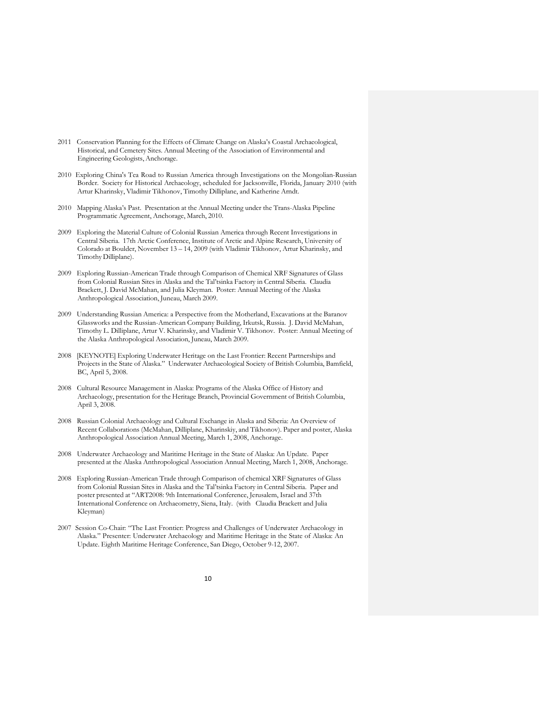- 2011 Conservation Planning for the Effects of Climate Change on Alaska's Coastal Archaeological, Historical, and Cemetery Sites. Annual Meeting of the Association of Environmental and Engineering Geologists, Anchorage.
- 2010 Exploring China's Tea Road to Russian America through Investigations on the Mongolian-Russian Border. Society for Historical Archaeology, scheduled for Jacksonville, Florida, January 2010 (with Artur Kharinsky, Vladimir Tikhonov, Timothy Dilliplane, and Katherine Arndt.
- 2010 Mapping Alaska's Past. Presentation at the Annual Meeting under the Trans-Alaska Pipeline Programmatic Agreement, Anchorage, March, 2010.
- 2009 Exploring the Material Culture of Colonial Russian America through Recent Investigations in Central Siberia. 17th Arctic Conference, Institute of Arctic and Alpine Research, University of Colorado at Boulder, November 13 – 14, 2009 (with Vladimir Tikhonov, Artur Kharinsky, and Timothy Dilliplane).
- 2009 Exploring Russian-American Trade through Comparison of Chemical XRF Signatures of Glass from Colonial Russian Sites in Alaska and the Tal'tsinka Factory in Central Siberia. Claudia Brackett, J. David McMahan, and Julia Kleyman. Poster: Annual Meeting of the Alaska Anthropological Association, Juneau, March 2009.
- 2009 Understanding Russian America: a Perspective from the Motherland, Excavations at the Baranov Glassworks and the Russian-American Company Building, Irkutsk, Russia. J. David McMahan, Timothy L. Dilliplane, Artur V. Kharinsky, and Vladimir V. Tikhonov. Poster: Annual Meeting of the Alaska Anthropological Association, Juneau, March 2009.
- 2008 [KEYNOTE] Exploring Underwater Heritage on the Last Frontier: Recent Partnerships and Projects in the State of Alaska." Underwater Archaeological Society of British Columbia, Bamfield, BC, April 5, 2008.
- 2008 Cultural Resource Management in Alaska: Programs of the Alaska Office of History and Archaeology, presentation for the Heritage Branch, Provincial Government of British Columbia, April 3, 2008.
- 2008 Russian Colonial Archaeology and Cultural Exchange in Alaska and Siberia: An Overview of Recent Collaborations (McMahan, Dilliplane, Kharinskiy, and Tikhonov). Paper and poster, Alaska Anthropological Association Annual Meeting, March 1, 2008, Anchorage.
- 2008 Underwater Archaeology and Maritime Heritage in the State of Alaska: An Update. Paper presented at the Alaska Anthropological Association Annual Meeting, March 1, 2008, Anchorage.
- 2008 Exploring Russian-American Trade through Comparison of chemical XRF Signatures of Glass from Colonial Russian Sites in Alaska and the Tal'tsinka Factory in Central Siberia. Paper and poster presented at "ART2008: 9th International Conference, Jerusalem, Israel and 37th International Conference on Archaeometry, Siena, Italy. (with Claudia Brackett and Julia Kleyman)
- 2007 Session Co-Chair: "The Last Frontier: Progress and Challenges of Underwater Archaeology in Alaska." Presenter: Underwater Archaeology and Maritime Heritage in the State of Alaska: An Update. Eighth Maritime Heritage Conference, San Diego, October 9-12, 2007.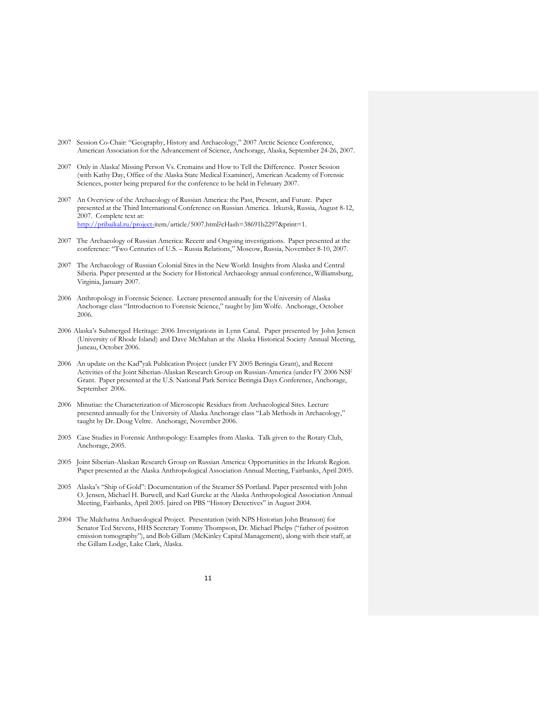- 2007 Session Co-Chair: "Geography, History and Archaeology," 2007 Arctic Science Conference, American Association for the Advancement of Science, Anchorage, Alaska, September 24-26, 2007.
- 2007 Only in Alaska! Missing Person Vs. Cremains and How to Tell the Difference. Poster Session (with Kathy Day, Office of the Alaska State Medical Examiner), American Academy of Forensic Sciences, poster being prepared for the conference to be held in February 2007.
- 2007 An Overview of the Archaeology of Russian America: the Past, Present, and Future. Paper presented at the Third International Conference on Russian America. Irkutsk, Russia, August 8-12, 2007. Complete text at: http://pribaikal.ru/project-item/article/5007.html?cHash=38691b2297&print=1.
- 2007 The Archaeology of Russian America: Recent and Ongoing investigations. Paper presented at the conference: "Two Centuries of U.S. – Russia Relations," Moscow, Russia, November 8-10, 2007.
- 2007 The Archaeology of Russian Colonial Sites in the New World: Insights from Alaska and Central Siberia. Paper presented at the Society for Historical Archaeology annual conference, Williamsburg, Virginia, January 2007.
- 2006 Anthropology in Forensic Science. Lecture presented annually for the University of Alaska Anchorage class "Introduction to Forensic Science," taught by Jim Wolfe. Anchorage, October 2006.
- 2006 Alaska's Submerged Heritage: 2006 Investigations in Lynn Canal. Paper presented by John Jensen (University of Rhode Island) and Dave McMahan at the Alaska Historical Society Annual Meeting, Juneau, October 2006.
- 2006 An update on the Kad"yak Publication Project (under FY 2005 Beringia Grant), and Recent Activities of the Joint Siberian-Alaskan Research Group on Russian-America (under FY 2006 NSF Grant. Paper presented at the U.S. National Park Service Beringia Days Conference, Anchorage, September 2006.
- 2006 Minutiae: the Characterization of Microscopic Residues from Archaeological Sites. Lecture presented annually for the University of Alaska Anchorage class "Lab Methods in Archaeology," taught by Dr. Doug Veltre. Anchorage, November 2006.
- 2005 Case Studies in Forensic Anthropology: Examples from Alaska. Talk given to the Rotary Club, Anchorage, 2005.
- 2005 Joint Siberian-Alaskan Research Group on Russian America: Opportunities in the Irkutsk Region. Paper presented at the Alaska Anthropological Association Annual Meeting, Fairbanks, April 2005.
- 2005 Alaska's "Ship of Gold": Documentation of the Steamer SS Portland. Paper presented with John O. Jensen, Michael H. Burwell, and Karl Gurcke at the Alaska Anthropological Association Annual Meeting, Fairbanks, April 2005. [aired on PBS "History Detectives" in August 2004.
- 2004 The Mulchatna Archaeological Project. Presentation (with NPS Historian John Branson) for Senator Ted Stevens, HHS Secretary Tommy Thompson, Dr. Michael Phelps ("father of positron emission tomography"), and Bob Gillam (McKinley Capital Management), along with their staff, at the Gillam Lodge, Lake Clark, Alaska.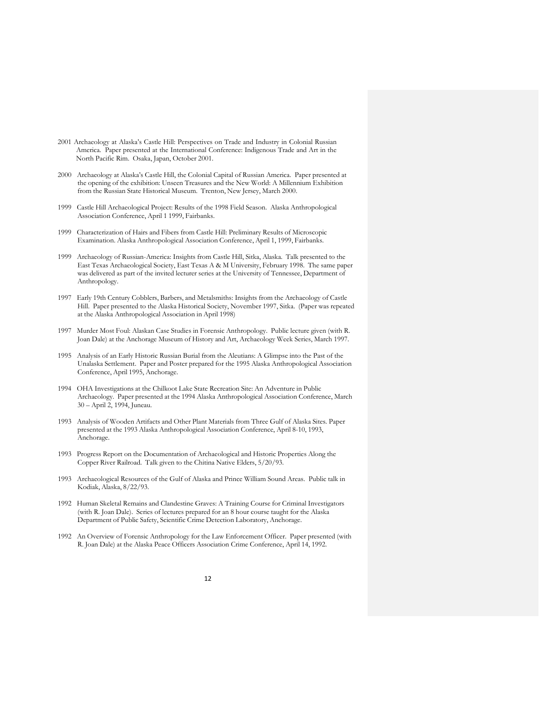- 2001 Archaeology at Alaska's Castle Hill: Perspectives on Trade and Industry in Colonial Russian America. Paper presented at the International Conference: Indigenous Trade and Art in the North Pacific Rim. Osaka, Japan, October 2001.
- 2000 Archaeology at Alaska's Castle Hill, the Colonial Capital of Russian America. Paper presented at the opening of the exhibition: Unseen Treasures and the New World: A Millennium Exhibition from the Russian State Historical Museum. Trenton, New Jersey, March 2000.
- 1999 Castle Hill Archaeological Project: Results of the 1998 Field Season. Alaska Anthropological Association Conference, April 1 1999, Fairbanks.
- 1999 Characterization of Hairs and Fibers from Castle Hill: Preliminary Results of Microscopic Examination. Alaska Anthropological Association Conference, April 1, 1999, Fairbanks.
- 1999 Archaeology of Russian-America: Insights from Castle Hill, Sitka, Alaska. Talk presented to the East Texas Archaeological Society, East Texas A & M University, February 1998. The same paper was delivered as part of the invited lecturer series at the University of Tennessee, Department of Anthropology.
- 1997 Early 19th Century Cobblers, Barbers, and Metalsmiths: Insights from the Archaeology of Castle Hill. Paper presented to the Alaska Historical Society, November 1997, Sitka. (Paper was repeated at the Alaska Anthropological Association in April 1998)
- 1997 Murder Most Foul: Alaskan Case Studies in Forensic Anthropology. Public lecture given (with R. Joan Dale) at the Anchorage Museum of History and Art, Archaeology Week Series, March 1997.
- 1995 Analysis of an Early Historic Russian Burial from the Aleutians: A Glimpse into the Past of the Unalaska Settlement. Paper and Poster prepared for the 1995 Alaska Anthropological Association Conference, April 1995, Anchorage.
- 1994 OHA Investigations at the Chilkoot Lake State Recreation Site: An Adventure in Public Archaeology. Paper presented at the 1994 Alaska Anthropological Association Conference, March 30 – April 2, 1994, Juneau.
- 1993 Analysis of Wooden Artifacts and Other Plant Materials from Three Gulf of Alaska Sites. Paper presented at the 1993 Alaska Anthropological Association Conference, April 8-10, 1993, Anchorage.
- 1993 Progress Report on the Documentation of Archaeological and Historic Properties Along the Copper River Railroad. Talk given to the Chitina Native Elders, 5/20/93.
- 1993 Archaeological Resources of the Gulf of Alaska and Prince William Sound Areas. Public talk in Kodiak, Alaska, 8/22/93.
- 1992 Human Skeletal Remains and Clandestine Graves: A Training Course for Criminal Investigators (with R. Joan Dale). Series of lectures prepared for an 8 hour course taught for the Alaska Department of Public Safety, Scientific Crime Detection Laboratory, Anchorage.
- 1992 An Overview of Forensic Anthropology for the Law Enforcement Officer. Paper presented (with R. Joan Dale) at the Alaska Peace Officers Association Crime Conference, April 14, 1992.